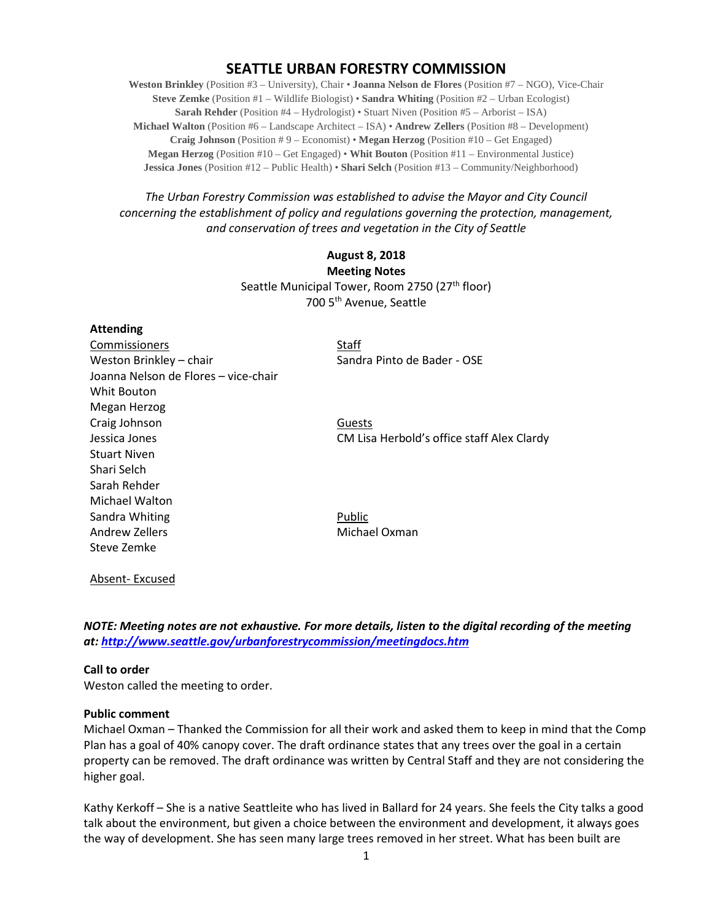# **SEATTLE URBAN FORESTRY COMMISSION**

**Weston Brinkley** (Position #3 – University), Chair • **Joanna Nelson de Flores** (Position #7 – NGO), Vice-Chair **Steve Zemke** (Position #1 – Wildlife Biologist) • **Sandra Whiting** (Position #2 – Urban Ecologist) **Sarah Rehder** (Position #4 – Hydrologist) • Stuart Niven (Position #5 – Arborist – ISA) **Michael Walton** (Position #6 – Landscape Architect – ISA) • **Andrew Zellers** (Position #8 – Development) **Craig Johnson** (Position # 9 – Economist) • **Megan Herzog** (Position #10 – Get Engaged) **Megan Herzog** (Position #10 – Get Engaged) • **Whit Bouton** (Position #11 – Environmental Justice) **Jessica Jones** (Position #12 – Public Health) • **Shari Selch** (Position #13 – Community/Neighborhood)

*The Urban Forestry Commission was established to advise the Mayor and City Council concerning the establishment of policy and regulations governing the protection, management, and conservation of trees and vegetation in the City of Seattle*

# **August 8, 2018 Meeting Notes** Seattle Municipal Tower, Room 2750 (27<sup>th</sup> floor) 700 5th Avenue, Seattle

#### **Attending**

**Commissioners** Staff Weston Brinkley – chair Sandra Pinto de Bader - OSE Joanna Nelson de Flores – vice-chair Whit Bouton Megan Herzog Craig Johnson Guests Jessica Jones CM Lisa Herbold's office staff Alex Clardy Stuart Niven Shari Selch Sarah Rehder Michael Walton Sandra Whiting **Public** Andrew Zellers **Michael Oxman** Steve Zemke

Absent- Excused

*NOTE: Meeting notes are not exhaustive. For more details, listen to the digital recording of the meeting at:<http://www.seattle.gov/urbanforestrycommission/meetingdocs.htm>*

#### **Call to order**

Weston called the meeting to order.

#### **Public comment**

Michael Oxman – Thanked the Commission for all their work and asked them to keep in mind that the Comp Plan has a goal of 40% canopy cover. The draft ordinance states that any trees over the goal in a certain property can be removed. The draft ordinance was written by Central Staff and they are not considering the higher goal.

Kathy Kerkoff – She is a native Seattleite who has lived in Ballard for 24 years. She feels the City talks a good talk about the environment, but given a choice between the environment and development, it always goes the way of development. She has seen many large trees removed in her street. What has been built are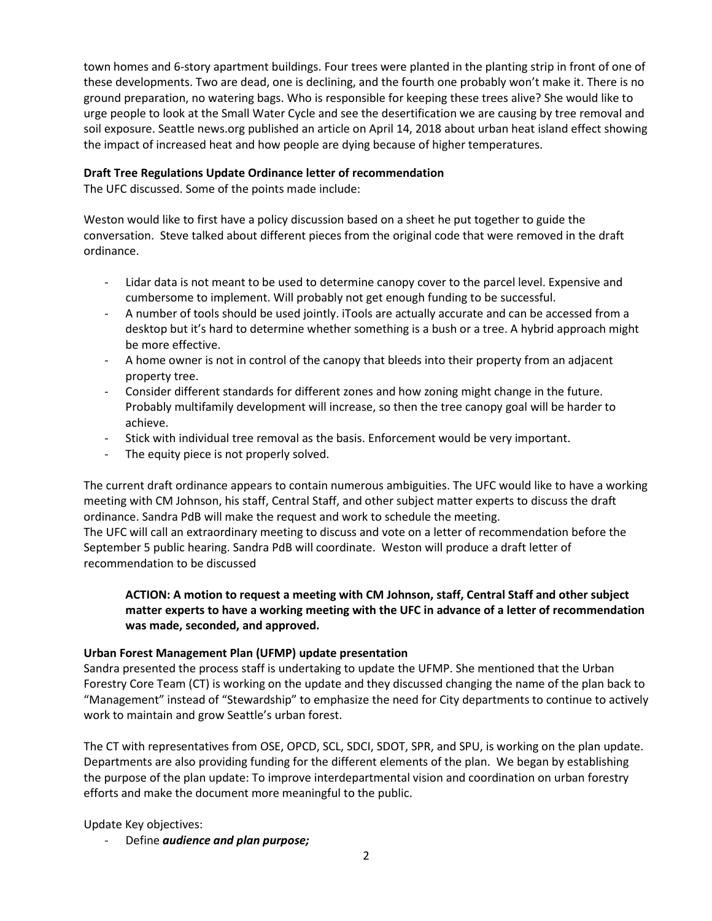town homes and 6-story apartment buildings. Four trees were planted in the planting strip in front of one of these developments. Two are dead, one is declining, and the fourth one probably won't make it. There is no ground preparation, no watering bags. Who is responsible for keeping these trees alive? She would like to urge people to look at the Small Water Cycle and see the desertification we are causing by tree removal and soil exposure. Seattle news.org published an article on April 14, 2018 about urban heat island effect showing the impact of increased heat and how people are dying because of higher temperatures.

### **Draft Tree Regulations Update Ordinance letter of recommendation**

The UFC discussed. Some of the points made include:

Weston would like to first have a policy discussion based on a sheet he put together to guide the conversation. Steve talked about different pieces from the original code that were removed in the draft ordinance.

- Lidar data is not meant to be used to determine canopy cover to the parcel level. Expensive and cumbersome to implement. Will probably not get enough funding to be successful.
- A number of tools should be used jointly. iTools are actually accurate and can be accessed from a desktop but it's hard to determine whether something is a bush or a tree. A hybrid approach might be more effective.
- A home owner is not in control of the canopy that bleeds into their property from an adjacent property tree.
- Consider different standards for different zones and how zoning might change in the future. Probably multifamily development will increase, so then the tree canopy goal will be harder to achieve.
- Stick with individual tree removal as the basis. Enforcement would be very important.
- The equity piece is not properly solved.

The current draft ordinance appears to contain numerous ambiguities. The UFC would like to have a working meeting with CM Johnson, his staff, Central Staff, and other subject matter experts to discuss the draft ordinance. Sandra PdB will make the request and work to schedule the meeting.

The UFC will call an extraordinary meeting to discuss and vote on a letter of recommendation before the September 5 public hearing. Sandra PdB will coordinate. Weston will produce a draft letter of recommendation to be discussed

## **ACTION: A motion to request a meeting with CM Johnson, staff, Central Staff and other subject matter experts to have a working meeting with the UFC in advance of a letter of recommendation was made, seconded, and approved.**

### **Urban Forest Management Plan (UFMP) update presentation**

Sandra presented the process staff is undertaking to update the UFMP. She mentioned that the Urban Forestry Core Team (CT) is working on the update and they discussed changing the name of the plan back to "Management" instead of "Stewardship" to emphasize the need for City departments to continue to actively work to maintain and grow Seattle's urban forest.

The CT with representatives from OSE, OPCD, SCL, SDCI, SDOT, SPR, and SPU, is working on the plan update. Departments are also providing funding for the different elements of the plan. We began by establishing the purpose of the plan update: To improve interdepartmental vision and coordination on urban forestry efforts and make the document more meaningful to the public.

Update Key objectives:

- Define *audience and plan purpose;*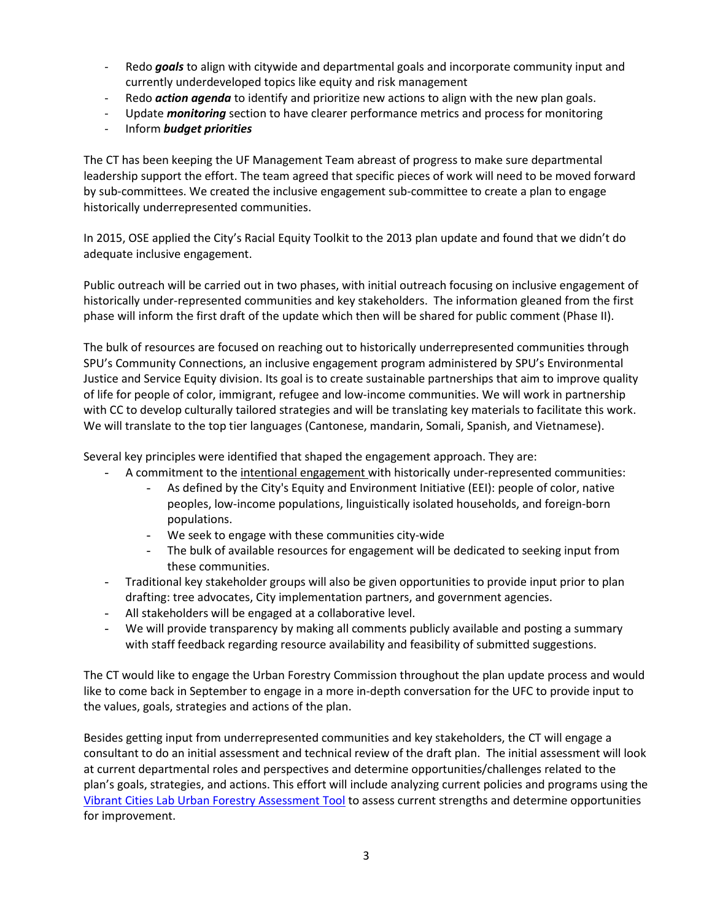- Redo *goals* to align with citywide and departmental goals and incorporate community input and currently underdeveloped topics like equity and risk management
- Redo *action agenda* to identify and prioritize new actions to align with the new plan goals.
- Update *monitoring* section to have clearer performance metrics and process for monitoring
- Inform *budget priorities*

The CT has been keeping the UF Management Team abreast of progress to make sure departmental leadership support the effort. The team agreed that specific pieces of work will need to be moved forward by sub-committees. We created the inclusive engagement sub-committee to create a plan to engage historically underrepresented communities.

In 2015, OSE applied the City's Racial Equity Toolkit to the 2013 plan update and found that we didn't do adequate inclusive engagement.

Public outreach will be carried out in two phases, with initial outreach focusing on inclusive engagement of historically under-represented communities and key stakeholders. The information gleaned from the first phase will inform the first draft of the update which then will be shared for public comment (Phase II).

The bulk of resources are focused on reaching out to historically underrepresented communities through SPU's Community Connections, an inclusive engagement program administered by SPU's Environmental Justice and Service Equity division. Its goal is to create sustainable partnerships that aim to improve quality of life for people of color, immigrant, refugee and low-income communities. We will work in partnership with CC to develop culturally tailored strategies and will be translating key materials to facilitate this work. We will translate to the top tier languages (Cantonese, mandarin, Somali, Spanish, and Vietnamese).

Several key principles were identified that shaped the engagement approach. They are:

- A commitment to the intentional engagement with historically under-represented communities:
	- As defined by the City's Equity and Environment Initiative (EEI): people of color, native peoples, low-income populations, linguistically isolated households, and foreign-born populations.
	- We seek to engage with these communities city-wide
	- The bulk of available resources for engagement will be dedicated to seeking input from these communities.
- Traditional key stakeholder groups will also be given opportunities to provide input prior to plan drafting: tree advocates, City implementation partners, and government agencies.
- All stakeholders will be engaged at a collaborative level.
- We will provide transparency by making all comments publicly available and posting a summary with staff feedback regarding resource availability and feasibility of submitted suggestions.

The CT would like to engage the Urban Forestry Commission throughout the plan update process and would like to come back in September to engage in a more in-depth conversation for the UFC to provide input to the values, goals, strategies and actions of the plan.

Besides getting input from underrepresented communities and key stakeholders, the CT will engage a consultant to do an initial assessment and technical review of the draft plan. The initial assessment will look at current departmental roles and perspectives and determine opportunities/challenges related to the plan's goals, strategies, and actions. This effort will include analyzing current policies and programs using the [Vibrant Cities Lab Urban Forestry Assessment Tool](https://www.vibrantcitieslab.com/assessment-tool/) to assess current strengths and determine opportunities for improvement.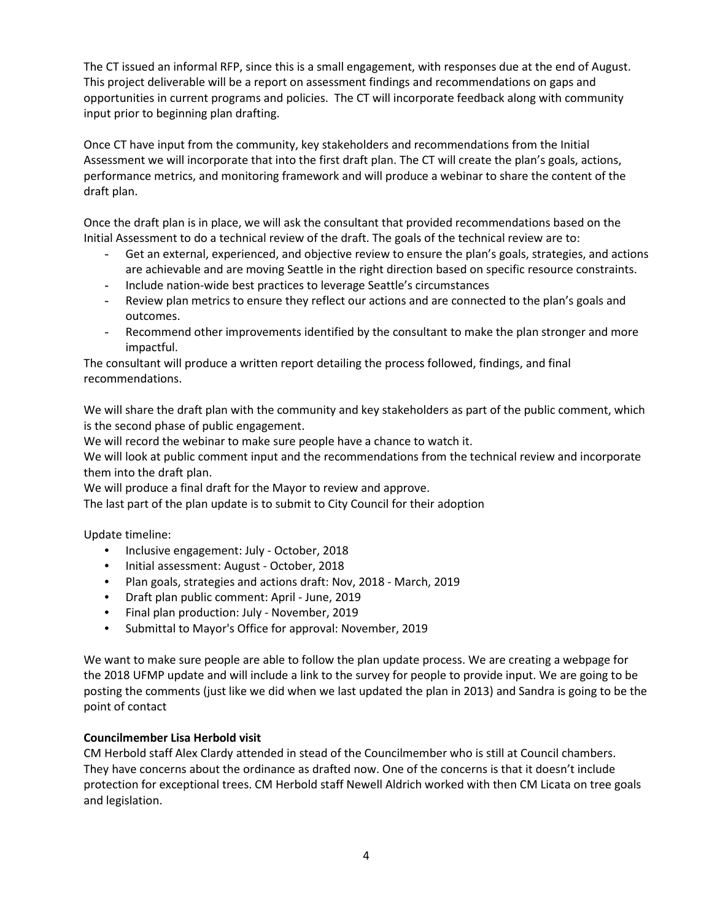The CT issued an informal RFP, since this is a small engagement, with responses due at the end of August. This project deliverable will be a report on assessment findings and recommendations on gaps and opportunities in current programs and policies. The CT will incorporate feedback along with community input prior to beginning plan drafting.

Once CT have input from the community, key stakeholders and recommendations from the Initial Assessment we will incorporate that into the first draft plan. The CT will create the plan's goals, actions, performance metrics, and monitoring framework and will produce a webinar to share the content of the draft plan.

Once the draft plan is in place, we will ask the consultant that provided recommendations based on the Initial Assessment to do a technical review of the draft. The goals of the technical review are to:

- Get an external, experienced, and objective review to ensure the plan's goals, strategies, and actions are achievable and are moving Seattle in the right direction based on specific resource constraints.
- Include nation-wide best practices to leverage Seattle's circumstances
- Review plan metrics to ensure they reflect our actions and are connected to the plan's goals and outcomes.
- Recommend other improvements identified by the consultant to make the plan stronger and more impactful.

The consultant will produce a written report detailing the process followed, findings, and final recommendations.

We will share the draft plan with the community and key stakeholders as part of the public comment, which is the second phase of public engagement.

We will record the webinar to make sure people have a chance to watch it.

We will look at public comment input and the recommendations from the technical review and incorporate them into the draft plan.

We will produce a final draft for the Mayor to review and approve.

The last part of the plan update is to submit to City Council for their adoption

Update timeline:

- Inclusive engagement: July October, 2018
- Initial assessment: August October, 2018
- Plan goals, strategies and actions draft: Nov, 2018 March, 2019
- Draft plan public comment: April June, 2019
- Final plan production: July November, 2019
- Submittal to Mayor's Office for approval: November, 2019

We want to make sure people are able to follow the plan update process. We are creating a webpage for the 2018 UFMP update and will include a link to the survey for people to provide input. We are going to be posting the comments (just like we did when we last updated the plan in 2013) and Sandra is going to be the point of contact

### **Councilmember Lisa Herbold visit**

CM Herbold staff Alex Clardy attended in stead of the Councilmember who is still at Council chambers. They have concerns about the ordinance as drafted now. One of the concerns is that it doesn't include protection for exceptional trees. CM Herbold staff Newell Aldrich worked with then CM Licata on tree goals and legislation.